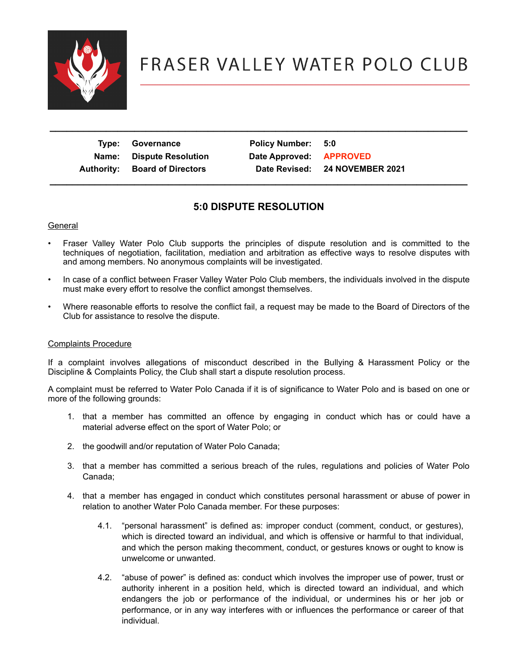

| Type: Governance                     | Policy Number: 5:0      |                                |
|--------------------------------------|-------------------------|--------------------------------|
| Name: Dispute Resolution             | Date Approved: APPROVED |                                |
| <b>Authority: Board of Directors</b> |                         | Date Revised: 24 NOVEMBER 2021 |
|                                      |                         |                                |

 **\_\_\_\_\_\_\_\_\_\_\_\_\_\_\_\_\_\_\_\_\_\_\_\_\_\_\_\_\_\_\_\_\_\_\_\_\_\_\_\_\_\_\_\_\_\_\_\_\_\_\_\_\_\_\_\_\_\_\_\_\_\_\_\_\_\_\_\_\_\_\_\_\_\_**

## **5:0 DISPUTE RESOLUTION**

## General

- Fraser Valley Water Polo Club supports the principles of dispute resolution and is committed to the techniques of negotiation, facilitation, mediation and arbitration as effective ways to resolve disputes with and among members. No anonymous complaints will be investigated.
- In case of a conflict between Fraser Valley Water Polo Club members, the individuals involved in the dispute must make every effort to resolve the conflict amongst themselves.
- Where reasonable efforts to resolve the conflict fail, a request may be made to the Board of Directors of the Club for assistance to resolve the dispute.

## Complaints Procedure

If a complaint involves allegations of misconduct described in the Bullying & Harassment Policy or the Discipline & Complaints Policy, the Club shall start a dispute resolution process.

A complaint must be referred to Water Polo Canada if it is of significance to Water Polo and is based on one or more of the following grounds:

- 1. that a member has committed an offence by engaging in conduct which has or could have a material adverse effect on the sport of Water Polo; or
- 2. the goodwill and/or reputation of Water Polo Canada;
- 3. that a member has committed a serious breach of the rules, regulations and policies of Water Polo Canada;
- 4. that a member has engaged in conduct which constitutes personal harassment or abuse of power in relation to another Water Polo Canada member. For these purposes:
	- 4.1. "personal harassment" is defined as: improper conduct (comment, conduct, or gestures), which is directed toward an individual, and which is offensive or harmful to that individual, and which the person making thecomment, conduct, or gestures knows or ought to know is unwelcome or unwanted.
	- 4.2. "abuse of power" is defined as: conduct which involves the improper use of power, trust or authority inherent in a position held, which is directed toward an individual, and which endangers the job or performance of the individual, or undermines his or her job or performance, or in any way interferes with or influences the performance or career of that individual.